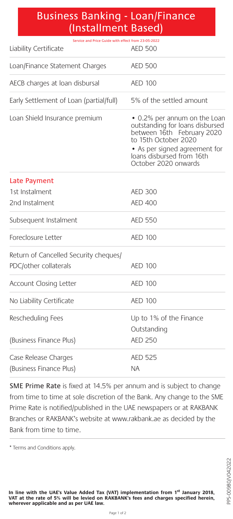## Business Banking - Loan/Finance (Installment Based)

| Service and Price Guide with effect from 23-05-2022<br>Liability Certificate | AED 500                                                                                                                                                                                                     |
|------------------------------------------------------------------------------|-------------------------------------------------------------------------------------------------------------------------------------------------------------------------------------------------------------|
| Loan/Finance Statement Charges                                               | <b>AED 500</b>                                                                                                                                                                                              |
| AECB charges at loan disbursal                                               | <b>AED 100</b>                                                                                                                                                                                              |
| Early Settlement of Loan (partial/full)                                      | 5% of the settled amount                                                                                                                                                                                    |
| Loan Shield Insurance premium                                                | • 0.2% per annum on the Loan<br>outstanding for loans disbursed<br>between 16th February 2020<br>to 15th October 2020<br>• As per signed agreement for<br>loans disbursed from 16th<br>October 2020 onwards |
| Late Payment                                                                 |                                                                                                                                                                                                             |
| 1st Instalment                                                               | AED 300                                                                                                                                                                                                     |
| 2nd Instalment                                                               | <b>AED 400</b>                                                                                                                                                                                              |
| Subsequent Instalment                                                        | <b>AED 550</b>                                                                                                                                                                                              |
| Foreclosure Letter                                                           | <b>AED 100</b>                                                                                                                                                                                              |
| Return of Cancelled Security cheques/<br>PDC/other collaterals               | <b>AED 100</b>                                                                                                                                                                                              |
|                                                                              |                                                                                                                                                                                                             |
| Account Closing Letter                                                       | <b>AED 100</b>                                                                                                                                                                                              |
| No Liability Certificate                                                     | <b>AED 100</b>                                                                                                                                                                                              |
| Rescheduling Fees                                                            | Up to 1% of the Finance<br>Outstanding                                                                                                                                                                      |
| (Business Finance Plus)                                                      | <b>AED 250</b>                                                                                                                                                                                              |
| Case Release Charges                                                         | AED 525                                                                                                                                                                                                     |
| (Business Finance Plus)                                                      | ΝA                                                                                                                                                                                                          |

SME Prime Rate is fixed at 14.5% per annum and is subject to change from time to time at sole discretion of the Bank. Any change to the SME Prime Rate is notified/published in the UAE newspapers or at RAKBANK Branches or RAKBANK's website at www.rakbank.ae as decided by the Bank from time to time.

**In line with the UAE's Value Added Tax (VAT) implementation from 1st January 2018, VAT at the rate of 5% will be levied on RAKBANK's fees and charges specified herein, wherever applicable and as per UAE law.**

<sup>\*</sup> Terms and Conditions apply.